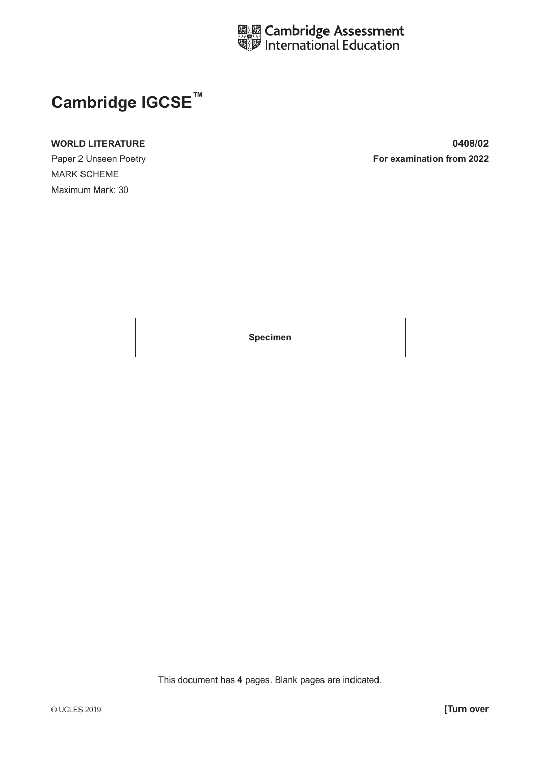

# **Cambridge IGCSE™**

MARK SCHEME Maximum Mark: 30

**WORLD LITERATURE 0408/02** Paper 2 Unseen Poetry **For examination from 2022** 

**Specimen**

This document has **4** pages. Blank pages are indicated.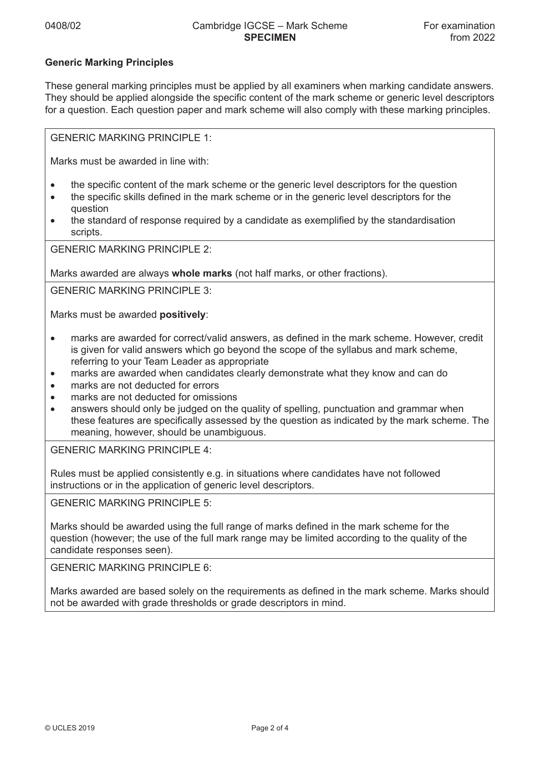### **Generic Marking Principles**

These general marking principles must be applied by all examiners when marking candidate answers. They should be applied alongside the specific content of the mark scheme or generic level descriptors for a question. Each question paper and mark scheme will also comply with these marking principles.

GENERIC MARKING PRINCIPLE 1:

Marks must be awarded in line with:

- the specific content of the mark scheme or the generic level descriptors for the question
- the specific skills defined in the mark scheme or in the generic level descriptors for the question
- the standard of response required by a candidate as exemplified by the standardisation scripts.

GENERIC MARKING PRINCIPLE 2:

Marks awarded are always **whole marks** (not half marks, or other fractions).

GENERIC MARKING PRINCIPLE 3:

Marks must be awarded **positively**:

- marks are awarded for correct/valid answers, as defined in the mark scheme. However, credit is given for valid answers which go beyond the scope of the syllabus and mark scheme, referring to your Team Leader as appropriate
- marks are awarded when candidates clearly demonstrate what they know and can do
- marks are not deducted for errors
- marks are not deducted for omissions
- answers should only be judged on the quality of spelling, punctuation and grammar when these features are specifically assessed by the question as indicated by the mark scheme. The meaning, however, should be unambiguous.

GENERIC MARKING PRINCIPLE 4:

Rules must be applied consistently e.g. in situations where candidates have not followed instructions or in the application of generic level descriptors.

GENERIC MARKING PRINCIPLE 5:

Marks should be awarded using the full range of marks defined in the mark scheme for the question (however; the use of the full mark range may be limited according to the quality of the candidate responses seen).

GENERIC MARKING PRINCIPLE 6:

Marks awarded are based solely on the requirements as defined in the mark scheme. Marks should not be awarded with grade thresholds or grade descriptors in mind.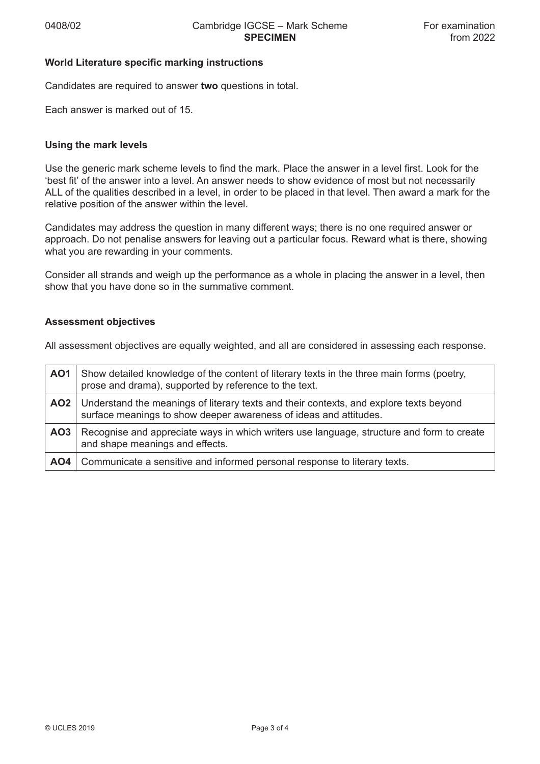#### **World Literature specific marking instructions**

Candidates are required to answer **two** questions in total.

Each answer is marked out of 15.

#### **Using the mark levels**

Use the generic mark scheme levels to find the mark. Place the answer in a level first. Look for the 'best fit' of the answer into a level. An answer needs to show evidence of most but not necessarily ALL of the qualities described in a level, in order to be placed in that level. Then award a mark for the relative position of the answer within the level.

Candidates may address the question in many different ways; there is no one required answer or approach. Do not penalise answers for leaving out a particular focus. Reward what is there, showing what you are rewarding in your comments.

Consider all strands and weigh up the performance as a whole in placing the answer in a level, then show that you have done so in the summative comment.

#### **Assessment objectives**

All assessment objectives are equally weighted, and all are considered in assessing each response.

| AO1             | Show detailed knowledge of the content of literary texts in the three main forms (poetry,<br>prose and drama), supported by reference to the text.          |
|-----------------|-------------------------------------------------------------------------------------------------------------------------------------------------------------|
| AO2             | Understand the meanings of literary texts and their contexts, and explore texts beyond<br>surface meanings to show deeper awareness of ideas and attitudes. |
| AO <sub>3</sub> | Recognise and appreciate ways in which writers use language, structure and form to create<br>and shape meanings and effects.                                |
| AO4             | Communicate a sensitive and informed personal response to literary texts.                                                                                   |